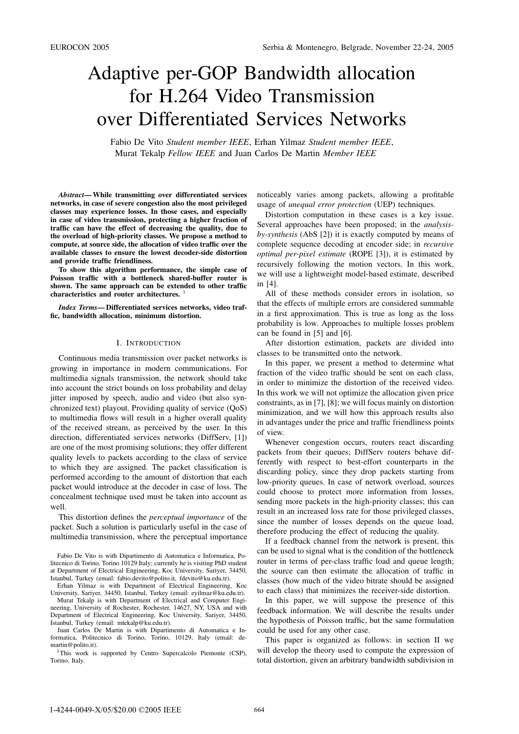# Adaptive per-GOP Bandwidth allocation for H.264 Video Transmission over Differentiated Services Networks

Fabio De Vito *Student member IEEE*, Erhan Yilmaz *Student member IEEE*, Murat Tekalp *Fellow IEEE* and Juan Carlos De Martin *Member IEEE*

*Abstract***— While transmitting over differentiated services networks, in case of severe congestion also the most privileged classes may experience losses. In those cases, and especially in case of video transmission, protecting a higher fraction of traffic can have the effect of decreasing the quality, due to the overload of high-priority classes. We propose a method to compute, at source side, the allocation of video traffic over the available classes to ensure the lowest decoder-side distortion and provide traffic friendliness.**

**To show this algorithm performance, the simple case of Poisson traffic with a bottleneck shared-buffer router is shown. The same approach can be extended to other traffic characteristics and router architectures.** <sup>1</sup>

*Index Terms***— Differentiated services networks, video traffic, bandwidth allocation, minimum distortion.**

# I. INTRODUCTION

Continuous media transmission over packet networks is growing in importance in modern communications. For multimedia signals transmission, the network should take into account the strict bounds on loss probability and delay jitter imposed by speech, audio and video (but also synchronized text) playout. Providing quality of service (QoS) to multimedia flows will result in a higher overall quality of the received stream, as perceived by the user. In this direction, differentiated services networks (DiffServ, [1]) are one of the most promising solutions; they offer different quality levels to packets according to the class of service to which they are assigned. The packet classification is performed according to the amount of distortion that each packet would introduce at the decoder in case of loss. The concealment technique used must be taken into account as well.

This distortion defines the *perceptual importance* of the packet. Such a solution is particularly useful in the case of multimedia transmission, where the perceptual importance

Fabio De Vito is with Dipartimento di Automatica e Informatica, Politecnico di Torino, Torino 10129 Italy; currently he is visiting PhD student at Department of Electrical Engineering, Koc University, Sariyer, 34450, Istanbul, Turkey (email: fabio.devito@polito.it, fdevito@ku.edu.tr).

Erhan Yilmaz is with Department of Electrical Engineering, Koc University, Sariyer, 34450, Istanbul, Turkey (email: eyilmaz@ku.edu.tr).

Murat Tekalp is with Department of Electrical and Computer Engineering, University of Rochester, Rochester, 14627, NY, USA and with Department of Electrical Engineering, Koc University, Sariyer, 34450, Istanbul, Turkey (email: mtekalp@ku.edu.tr).

Juan Carlos De Martin is with Dipartimento di Automatica e Informatica, Politecnico di Torino, Torino, 10129, Italy (email: demartin@polito.it).

<sup>1</sup>This work is supported by Centro Supercalcolo Piemonte (CSP), Torino, Italy.

noticeably varies among packets, allowing a profitable usage of *unequal error protection* (UEP) techniques.

Distortion computation in these cases is a key issue. Several approaches have been proposed; in the *analysisby-synthesis* (AbS [2]) it is exactly computed by means of complete sequence decoding at encoder side; in *recursive optimal per-pixel estimate* (ROPE [3]), it is estimated by recursively following the motion vectors. In this work, we will use a lightweight model-based estimate, described in [4].

All of these methods consider errors in isolation, so that the effects of multiple errors are considered summable in a first approximation. This is true as long as the loss probability is low. Approaches to multiple losses problem can be found in [5] and [6].

After distortion estimation, packets are divided into classes to be transmitted onto the network.

In this paper, we present a method to determine what fraction of the video traffic should be sent on each class, in order to minimize the distortion of the received video. In this work we will not optimize the allocation given price constraints, as in [7], [8]; we will focus mainly on distortion minimization, and we will how this approach results also in advantages under the price and traffic friendliness points of view.

Whenever congestion occurs, routers react discarding packets from their queues; DiffServ routers behave differently with respect to best-effort counterparts in the discarding policy, since they drop packets starting from low-priority queues. In case of network overload, sources could choose to protect more information from losses, sending more packets in the high-priority classes; this can result in an increased loss rate for those privileged classes, since the number of losses depends on the queue load, therefore producing the effect of reducing the quality.

If a feedback channel from the network is present, this can be used to signal what is the condition of the bottleneck router in terms of per-class traffic load and queue length; the source can then estimate the allocation of traffic in classes (how much of the video bitrate should be assigned to each class) that minimizes the receiver-side distortion.

In this paper, we will suppose the presence of this feedback information. We will describe the results under the hypothesis of Poisson traffic, but the same formulation could be used for any other case.

This paper is organized as follows: in section II we will develop the theory used to compute the expression of total distortion, given an arbitrary bandwidth subdivision in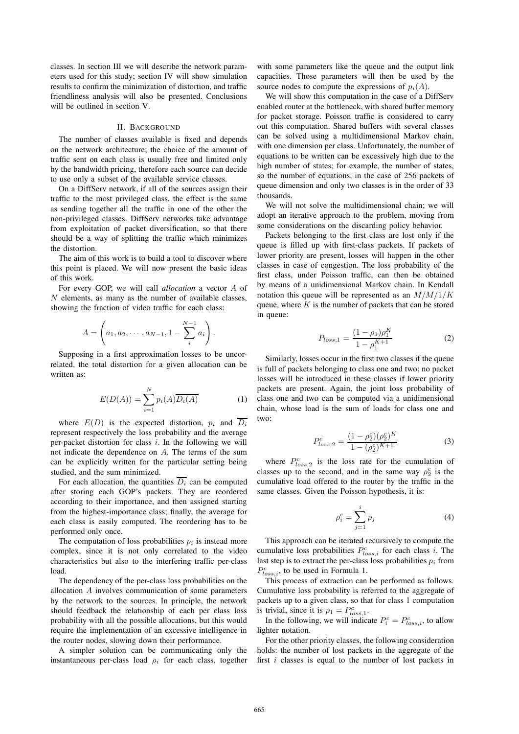classes. In section III we will describe the network parameters used for this study; section IV will show simulation results to confirm the minimization of distortion, and traffic friendliness analysis will also be presented. Conclusions will be outlined in section V.

#### II. BACKGROUND

The number of classes available is fixed and depends on the network architecture; the choice of the amount of traffic sent on each class is usually free and limited only by the bandwidth pricing, therefore each source can decide to use only a subset of the available service classes.

On a DiffServ network, if all of the sources assign their traffic to the most privileged class, the effect is the same as sending together all the traffic in one of the other the non-privileged classes. DiffServ networks take advantage from exploitation of packet diversification, so that there should be a way of splitting the traffic which minimizes the distortion.

The aim of this work is to build a tool to discover where this point is placed. We will now present the basic ideas of this work.

For every GOP, we will call *allocation* a vector A of  $N$  elements, as many as the number of available classes, showing the fraction of video traffic for each class:

$$
A = \left(a_1, a_2, \cdots, a_{N-1}, 1 - \sum_{i=1}^{N-1} a_i\right).
$$

Supposing in a first approximation losses to be uncorrelated, the total distortion for a given allocation can be written as:

$$
E(D(A)) = \sum_{i=1}^{N} p_i(A) \overline{D_i(A)}
$$
 (1)

where  $E(D)$  is the expected distortion,  $p_i$  and  $\overline{D_i}$ represent respectively the loss probability and the average per-packet distortion for class  $i$ . In the following we will not indicate the dependence on A. The terms of the sum can be explicitly written for the particular setting being studied, and the sum minimized.

For each allocation, the quantities  $\overline{D_i}$  can be computed after storing each GOP's packets. They are reordered according to their importance, and then assigned starting from the highest-importance class; finally, the average for each class is easily computed. The reordering has to be performed only once.

The computation of loss probabilities  $p_i$  is instead more complex, since it is not only correlated to the video characteristics but also to the interfering traffic per-class load.

The dependency of the per-class loss probabilities on the allocation A involves communication of some parameters by the network to the sources. In principle, the network should feedback the relationship of each per class loss probability with all the possible allocations, but this would require the implementation of an excessive intelligence in the router nodes, slowing down their performance.

A simpler solution can be communicating only the instantaneous per-class load  $\rho_i$  for each class, together

with some parameters like the queue and the output link capacities. Those parameters will then be used by the source nodes to compute the expressions of  $p_i(A)$ .

We will show this computation in the case of a DiffServ enabled router at the bottleneck, with shared buffer memory for packet storage. Poisson traffic is considered to carry out this computation. Shared buffers with several classes can be solved using a multidimensional Markov chain, with one dimension per class. Unfortunately, the number of equations to be written can be excessively high due to the high number of states; for example, the number of states, so the number of equations, in the case of 256 packets of queue dimension and only two classes is in the order of 33 thousands.

We will not solve the multidimensional chain; we will adopt an iterative approach to the problem, moving from some considerations on the discarding policy behavior.

Packets belonging to the first class are lost only if the queue is filled up with first-class packets. If packets of lower priority are present, losses will happen in the other classes in case of congestion. The loss probability of the first class, under Poisson traffic, can then be obtained by means of a unidimensional Markov chain. In Kendall notation this queue will be represented as an  $M/M/1/K$ queue, where  $K$  is the number of packets that can be stored in queue:

$$
P_{loss,1} = \frac{(1 - \rho_1)\rho_1^K}{1 - \rho_1^{K+1}}\tag{2}
$$

Similarly, losses occur in the first two classes if the queue is full of packets belonging to class one and two; no packet losses will be introduced in these classes if lower priority packets are present. Again, the joint loss probability of class one and two can be computed via a unidimensional chain, whose load is the sum of loads for class one and two:

$$
P_{loss,2}^c = \frac{(1 - \rho_2^c)(\rho_2^c)^K}{1 - (\rho_2^c)^{K+1}}\tag{3}
$$

where  $P_{loss,2}^c$  is the loss rate for the cumulation of classes up to the second, and in the same way  $\rho_2^c$  is the cumulative load offered to the router by the traffic in the same classes. Given the Poisson hypothesis, it is:

$$
\rho_i^c = \sum_{j=1}^i \rho_j \tag{4}
$$

This approach can be iterated recursively to compute the cumulative loss probabilities  $P_{loss,i}^c$  for each class *i*. The last step is to extract the per-class loss probabilities  $p_i$  from  $P_{loss,i}^c$ , to be used in Formula 1.

This process of extraction can be performed as follows. Cumulative loss probability is referred to the aggregate of packets up to a given class, so that for class 1 computation is trivial, since it is  $p_1 = P_{loss,1}^c$ .

In the following, we will indicate  $P_i^c = P_{loss,i}^c$ , to allow lighter notation.

For the other priority classes, the following consideration holds: the number of lost packets in the aggregate of the first i classes is equal to the number of lost packets in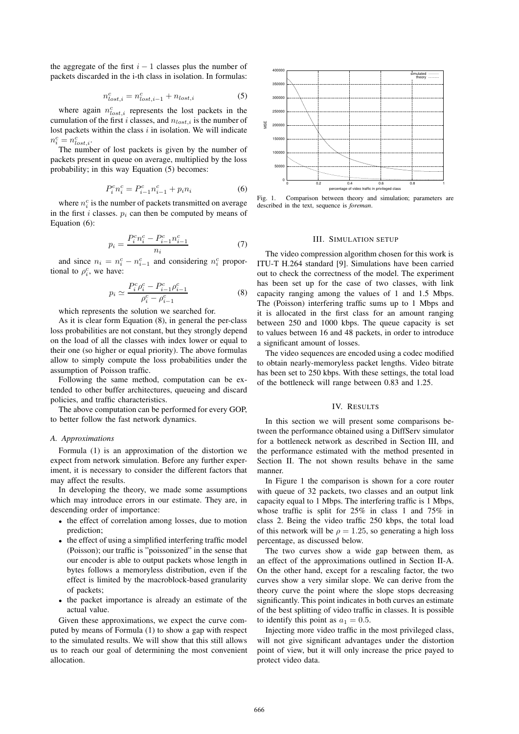the aggregate of the first  $i - 1$  classes plus the number of packets discarded in the i-th class in isolation. In formulas:

$$
n_{lost,i}^c = n_{lost,i-1}^c + n_{lost,i} \tag{5}
$$

where again  $n_{lost,i}^c$  represents the lost packets in the cumulation of the first i classes, and  $n_{lost,i}$  is the number of lost packets within the class  $i$  in isolation. We will indicate  $n_i^c = n_{lost,i}^c$ .

The number of lost packets is given by the number of packets present in queue on average, multiplied by the loss probability; in this way Equation (5) becomes:

$$
P_i^c n_i^c = P_{i-1}^c n_{i-1}^c + p_i n_i \tag{6}
$$

where  $n_i^c$  is the number of packets transmitted on average in the first  $i$  classes.  $p_i$  can then be computed by means of Equation (6):

$$
p_i = \frac{P_i^c n_i^c - P_{i-1}^c n_{i-1}^c}{n_i} \tag{7}
$$

and since  $n_i = n_i^c - n_{i-1}^c$  and considering  $n_i^c$  proportional to  $\rho_i^c$ , we have:

$$
p_i \simeq \frac{P_i^c \rho_i^c - P_{i-1}^c \rho_{i-1}^c}{\rho_i^c - \rho_{i-1}^c}
$$
 (8)

which represents the solution we searched for.

As it is clear form Equation (8), in general the per-class loss probabilities are not constant, but they strongly depend on the load of all the classes with index lower or equal to their one (so higher or equal priority). The above formulas allow to simply compute the loss probabilities under the assumption of Poisson traffic.

Following the same method, computation can be extended to other buffer architectures, queueing and discard policies, and traffic characteristics.

The above computation can be performed for every GOP, to better follow the fast network dynamics.

## *A. Approximations*

Formula (1) is an approximation of the distortion we expect from network simulation. Before any further experiment, it is necessary to consider the different factors that may affect the results.

In developing the theory, we made some assumptions which may introduce errors in our estimate. They are, in descending order of importance:

- the effect of correlation among losses, due to motion prediction;
- the effect of using a simplified interfering traffic model (Poisson); our traffic is "poissonized" in the sense that our encoder is able to output packets whose length in bytes follows a memoryless distribution, even if the effect is limited by the macroblock-based granularity of packets;
- the packet importance is already an estimate of the actual value.

Given these approximations, we expect the curve computed by means of Formula (1) to show a gap with respect to the simulated results. We will show that this still allows us to reach our goal of determining the most convenient allocation.



Fig. 1. Comparison between theory and simulation; parameters are described in the text, sequence is *foreman*.

#### III. SIMULATION SETUP

The video compression algorithm chosen for this work is ITU-T H.264 standard [9]. Simulations have been carried out to check the correctness of the model. The experiment has been set up for the case of two classes, with link capacity ranging among the values of 1 and 1.5 Mbps. The (Poisson) interfering traffic sums up to 1 Mbps and it is allocated in the first class for an amount ranging between 250 and 1000 kbps. The queue capacity is set to values between 16 and 48 packets, in order to introduce a significant amount of losses.

The video sequences are encoded using a codec modified to obtain nearly-memoryless packet lengths. Video bitrate has been set to 250 kbps. With these settings, the total load of the bottleneck will range between 0.83 and 1.25.

## IV. RESULTS

In this section we will present some comparisons between the performance obtained using a DiffServ simulator for a bottleneck network as described in Section III, and the performance estimated with the method presented in Section II. The not shown results behave in the same manner.

In Figure 1 the comparison is shown for a core router with queue of 32 packets, two classes and an output link capacity equal to 1 Mbps. The interfering traffic is 1 Mbps, whose traffic is split for 25% in class 1 and 75% in class 2. Being the video traffic 250 kbps, the total load of this network will be  $\rho = 1.25$ , so generating a high loss percentage, as discussed below.

The two curves show a wide gap between them, as an effect of the approximations outlined in Section II-A. On the other hand, except for a rescaling factor, the two curves show a very similar slope. We can derive from the theory curve the point where the slope stops decreasing significantly. This point indicates in both curves an estimate of the best splitting of video traffic in classes. It is possible to identify this point as  $a_1 = 0.5$ .

Injecting more video traffic in the most privileged class, will not give significant advantages under the distortion point of view, but it will only increase the price payed to protect video data.